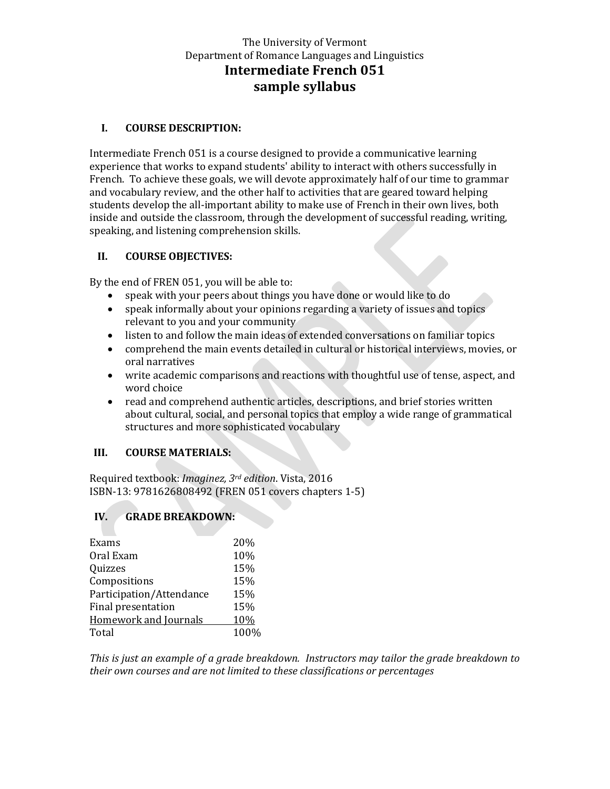# The University of Vermont Department of Romance Languages and Linguistics **Intermediate French 051 sample syllabus**

#### **I. COURSE DESCRIPTION:**

Intermediate French 051 is a course designed to provide a communicative learning experience that works to expand students' ability to interact with others successfully in French. To achieve these goals, we will devote approximately half of our time to grammar and vocabulary review, and the other half to activities that are geared toward helping students develop the all-important ability to make use of French in their own lives, both inside and outside the classroom, through the development of successful reading, writing, speaking, and listening comprehension skills.

#### **II. COURSE OBJECTIVES:**

By the end of FREN 051, you will be able to:

- speak with your peers about things you have done or would like to do
- speak informally about your opinions regarding a variety of issues and topics relevant to you and your community
- listen to and follow the main ideas of extended conversations on familiar topics
- comprehend the main events detailed in cultural or historical interviews, movies, or oral narratives
- write academic comparisons and reactions with thoughtful use of tense, aspect, and word choice
- read and comprehend authentic articles, descriptions, and brief stories written about cultural, social, and personal topics that employ a wide range of grammatical structures and more sophisticated vocabulary

### **III. COURSE MATERIALS:**

Required textbook: *Imaginez, 3rd edition*. Vista, 2016 ISBN-13: 9781626808492 (FREN 051 covers chapters 1-5)

### **IV. GRADE BREAKDOWN:**

| Exams                    | 20%  |
|--------------------------|------|
| Oral Exam                | 10%  |
| Quizzes                  | 15%  |
| Compositions             | 15%  |
| Participation/Attendance | 15%  |
| Final presentation       | 15%  |
| Homework and Journals    | 10%  |
| Total                    | 100% |
|                          |      |

*This is just an example of a grade breakdown. Instructors may tailor the grade breakdown to their own courses and are not limited to these classifications or percentages*